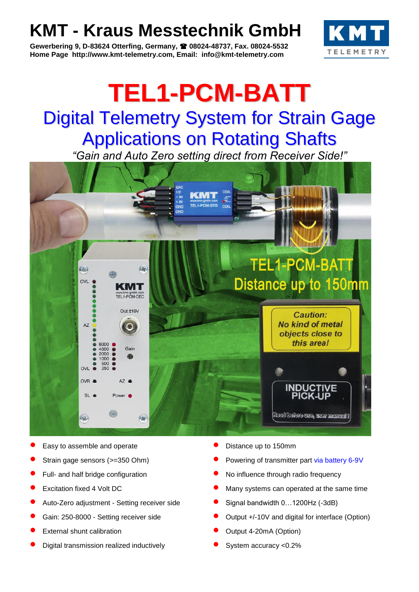## **KMT - Kraus Messtechnik GmbH**

**Gewerbering 9, D-83624 Otterfing, Germany, 08024-48737, Fax. 08024-5532 Home Page http://www.kmt-telemetry.com, Email: info@kmt-telemetry.com**



# **TEL1-PCM-BATT** Digital Telemetry System for Strain Gage Applications on Rotating Shafts

*"Gain and Auto Zero setting direct from Receiver Side!"*



- Easy to assemble and operate **Fig. 2** Distance up to 150mm
- 
- 
- 
- Auto-Zero adjustment Setting receiver side Signal bandwidth 0…1200Hz (-3dB)
- 
- 
- **Digital transmission realized inductively example 3** System accuracy <0.2%
- 
- Strain gage sensors (>=350 Ohm) Powering of transmitter part via battery 6-9V
- Full- and half bridge configuration  **COLOGY** No influence through radio frequency
- **Excitation fixed 4 Volt DC COLLOC COLLOC Many systems can operated at the same time** 
	-
- Gain: 250-8000 Setting receiver side **•** Output +/-10V and digital for interface (Option)
- **External shunt calibration COULD COUPUTE:** COUPUTE: COUPUTE: COUPUTE: COUPUTE: COUPUTE: COUPUTE: COUPUTE: COUPUTE: COUPUTE: COUPUTE: COUPUTE: COUPUTE: COUPUTE: COUPUTE: COUPUTE: COUPUTE: COUPUTE: COUPUTE: COUPUTE: COU
	-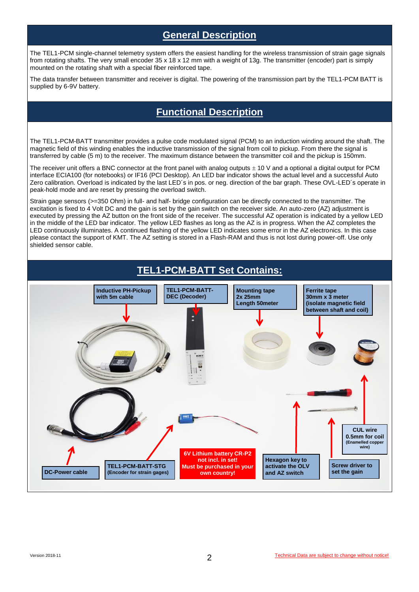#### **General Description**

The TEL1-PCM single-channel telemetry system offers the easiest handling for the wireless transmission of strain gage signals from rotating shafts. The very small encoder 35 x 18 x 12 mm with a weight of 13g. The transmitter (encoder) part is simply mounted on the rotating shaft with a special fiber reinforced tape.

The data transfer between transmitter and receiver is digital. The powering of the transmission part by the TEL1-PCM BATT is supplied by 6-9V battery.

#### **Functional Description**

The TEL1-PCM-BATT transmitter provides a pulse code modulated signal (PCM) to an induction winding around the shaft. The magnetic field of this winding enables the inductive transmission of the signal from coil to pickup. From there the signal is transferred by cable (5 m) to the receiver. The maximum distance between the transmitter coil and the pickup is 150mm.

The receiver unit offers a BNC connector at the front panel with analog outputs  $\pm$  10 V and a optional a digital output for PCM interface ECIA100 (for notebooks) or IF16 (PCI Desktop). An LED bar indicator shows the actual level and a successful Auto Zero calibration. Overload is indicated by the last LED´s in pos. or neg. direction of the bar graph. These OVL-LED´s operate in peak-hold mode and are reset by pressing the overload switch.

Strain gage sensors (>=350 Ohm) in full- and half- bridge configuration can be directly connected to the transmitter. The excitation is fixed to 4 Volt DC and the gain is set by the gain switch on the receiver side. An auto-zero (AZ) adjustment is executed by pressing the AZ button on the front side of the receiver. The successful AZ operation is indicated by a yellow LED in the middle of the LED bar indicator. The yellow LED flashes as long as the AZ is in progress. When the AZ completes the LED continuously illuminates. A continued flashing of the yellow LED indicates some error in the AZ electronics. In this case please contact the support of KMT. The AZ setting is stored in a Flash-RAM and thus is not lost during power-off. Use only shielded sensor cable.

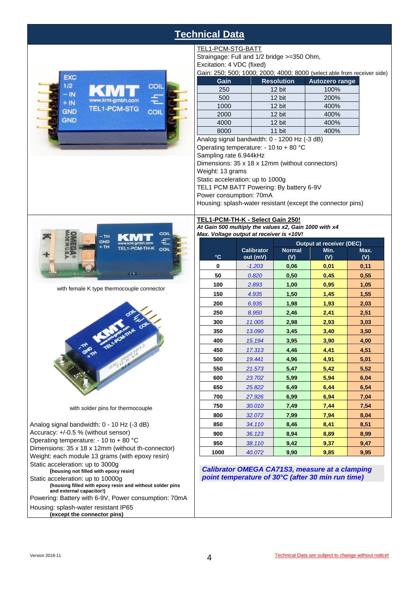### **Technical Data**

TEL1-PCM-STG-BATT

Straingage: Full and 1/2 bridge >=350 Ohm,



|                        | Excitation: 4 VDC (fixed)                                               |                   |                       |  |  |  |  |
|------------------------|-------------------------------------------------------------------------|-------------------|-----------------------|--|--|--|--|
|                        | Gain: 250; 500; 1000; 2000; 4000; 8000 (select able from receiver side) |                   |                       |  |  |  |  |
|                        | Gain                                                                    | <b>Resolution</b> | <b>Autozero range</b> |  |  |  |  |
|                        | 250                                                                     | 12 bit            | 100%                  |  |  |  |  |
|                        | 500                                                                     | 12 bit            | 200%                  |  |  |  |  |
|                        | 1000                                                                    | 12 bit            | 400%                  |  |  |  |  |
|                        | 2000                                                                    | 12 bit            | 400%                  |  |  |  |  |
|                        | 4000                                                                    | 12 bit            | 400%                  |  |  |  |  |
|                        | 8000                                                                    | 11 bit            | 400%                  |  |  |  |  |
|                        | Analog signal bandwidth: 0 - 1200 Hz (-3 dB)                            |                   |                       |  |  |  |  |
|                        | Operating temperature: - 10 to + 80 $^{\circ}$ C                        |                   |                       |  |  |  |  |
| Sampling rate 6.944kHz |                                                                         |                   |                       |  |  |  |  |
|                        | Dimensions: 35 x 18 x 12mm (without connectors)                         |                   |                       |  |  |  |  |
|                        | Weight: 13 grams                                                        |                   |                       |  |  |  |  |
|                        | Static acceleration: up to 1000g                                        |                   |                       |  |  |  |  |
|                        | TEL1 PCM BATT Powering: By battery 6-9V                                 |                   |                       |  |  |  |  |
|                        | Power consumption: 70mA                                                 |                   |                       |  |  |  |  |
|                        | Housing: splash-water resistant (except the connector pins)             |                   |                       |  |  |  |  |



with female K type thermocouple connector



with solder pins for thermocouple

Analog signal bandwidth: 0 - 10 Hz (-3 dB) Accuracy: +/-0.5 % (without sensor) Operating temperature: - 10 to + 80 °C Dimensions: 35 x 18 x 12mm (without th-connector) Weight: each module 13 grams (with epoxy resin) Static acceleration: up to 3000g **(housing not filled with epoxy resin)** Static acceleration: up to 10000g **(housing filled with epoxy resin and without solder pins and external capacitor!)** Powering: Battery with 6-9V, Power consumption: 70mA Housing: splash-water resistant IP65 **(except the connector pins)**

#### **TEL1-PCM-TH-K - Select Gain 250!** *At Gain 500 multiply the values x2, Gain 1000 with x4*

*Max. Voltage output at receiver is +10V!*

|              |                   | <b>Output at receiver (DEC)</b> |      |      |
|--------------|-------------------|---------------------------------|------|------|
|              | <b>Calibrator</b> | <b>Normal</b>                   | Min. | Max. |
| $\mathbf{C}$ | out (mV)          | (V)                             | (V)  | (V)  |
| 0            | $-1.203$          | 0,06                            | 0,01 | 0,11 |
| 50           | 0.820             | 0,50                            | 0,45 | 0,55 |
| 100          | 2.893             | 1,00                            | 0,95 | 1,05 |
| 150          | 4.935             | 1,50                            | 1,45 | 1,55 |
| 200          | 6.935             | 1,98                            | 1,93 | 2,03 |
| 250          | 8.950             | 2,46                            | 2,41 | 2,51 |
| 300          | 11.005            | 2,98                            | 2,93 | 3,03 |
| 350          | 13.090            | 3,45                            | 3,40 | 3,50 |
| 400          | 15.194            | 3,95                            | 3,90 | 4,00 |
| 450          | 17.313            | 4,46                            | 4,41 | 4,51 |
| 500          | 19.441            | 4,96                            | 4,91 | 5,01 |
| 550          | 21.573            | 5,47                            | 5,42 | 5,52 |
| 600          | 23.702            | 5,99                            | 5,94 | 6,04 |
| 650          | 25.822            | 6,49                            | 6,44 | 6,54 |
| 700          | 27.926            | 6,99                            | 6,94 | 7,04 |
| 750          | 30.010            | 7,49                            | 7,44 | 7,54 |
| 800          | 32.072            | 7,99                            | 7,94 | 8,04 |
| 850          | 34.110            | 8,46                            | 8,41 | 8,51 |
| 900          | 36.123            | 8,94                            | 8,89 | 8,99 |
| 950          | 38.110            | 9,42                            | 9,37 | 9,47 |
| 1000         | 40.072            | 9.90                            | 9,85 | 9.95 |

*Calibrator OMEGA CA71S3, measure at a clamping point temperature of 30°C (after 30 min run time)*